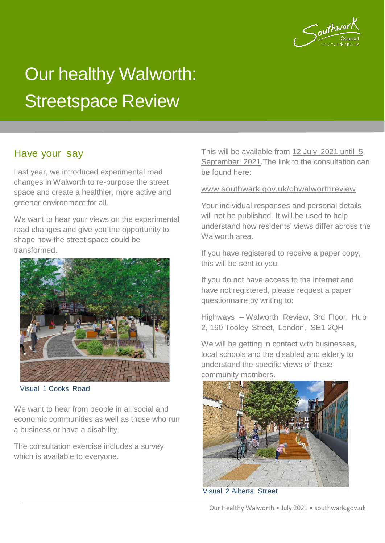

# Our healthy Walworth: Streetspace Review

Last year, we introduced experimental road changes in Walworth to re-purpose the street space and create a healthier, more active and greener environment for all.

We want to hear your views on the experimental road changes and give you the opportunity to shape how the street space could be transformed.



Visual 1 Cooks Road

We want to hear from people in all social and economic communities as well as those who run a business or have a disability.

The consultation exercise includes a survey which is available to everyone.

Have your say **This will be available from 12 July 2021 until 5** September 2021.The link to the consultation can be found here:

#### [www.southwark.gov.uk/ohwalworthreview](http://www.southwark.gov.uk/ohwalworthreview)

Your individual responses and personal details will not be published. It will be used to help understand how residents' views differ across the Walworth area.

If you have registered to receive a paper copy, this will be sent to you.

If you do not have access to the internet and have not registered, please request a paper questionnaire by writing to:

Highways – Walworth Review, 3rd Floor, Hub 2, 160 Tooley Street, London, SE1 2QH

We will be getting in contact with businesses, local schools and the disabled and elderly to understand the specific views of these community members.



Visual 2 Alberta Street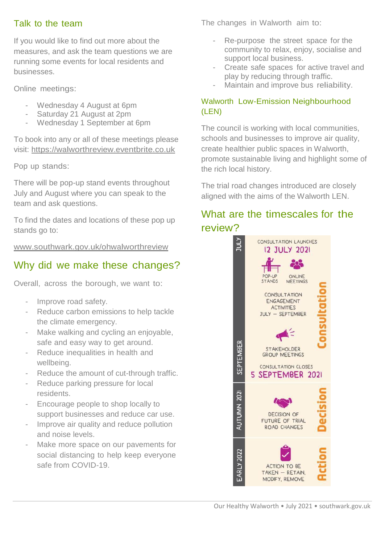Talk to the team

If you would like to find out more about the measures, and ask the team questions we are running some events for local residents and businesses.

Online meetings:

- Wednesday 4 August at 6pm
- Saturday 21 August at 2pm
- Wednesday 1 September at 6pm

To book into any or all of these meetings please visit: [https://walworthreview.eventbrite.co.uk](https://walworthreview.eventbrite.co.uk/)

Pop up stands:

There will be pop-up stand events throughout July and August where you can speak to the team and ask questions.

To find the dates and locations of these pop up stands go to:

[www.southwark.gov.uk/ohwalworthreview](http://www.southwark.gov.uk/ohwalworthreview)

# Why did we make these changes?

Overall, across the borough, we want to:

- Improve road safety.
- Reduce carbon emissions to help tackle the climate emergency.
- Make walking and cycling an enjoyable, safe and easy way to get around. -
- Reduce inequalities in health and wellbeing. -
- Reduce the amount of cut-through traffic.
- Reduce parking pressure for local residents. -
- Encourage people to shop locally to support businesses and reduce car use. -
- Improve air quality and reduce pollution and noise levels. -
- Make more space on our pavements for social distancing to help keep everyone safe from COVID-19. -

The changes in Walworth aim to:

- Re-purpose the street space for the community to relax, enjoy, socialise and support local business.
- Create safe spaces for active travel and play by reducing through traffic. -
- Maintain and improve bus reliability.

### Walworth Low-Emission Neighbourhood (LEN)

The council is working with local communities, schools and businesses to improve air quality, create healthier public spaces in Walworth, promote sustainable living and highlight some of the rich local history.

The trial road changes introduced are closely aligned with the aims of the Walworth LEN.

# What are the timescales for the review?

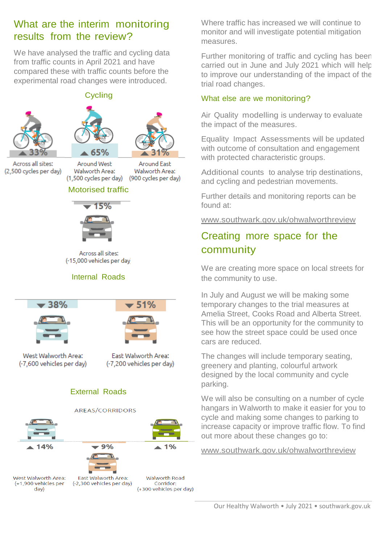## What are the interim monitoring results from the review?

We have analysed the traffic and cycling data from traffic counts in April 2021 and have compared these with traffic counts before the experimental road changes were introduced.

**Cycling** 



Across all sites: (2,500 cycles per day)



#### Motorised traffic

Walworth Area:



Across all sites: (-15,000 vehicles per day

#### Internal Roads



#### External Roads



(+1,900 vehicles per day)

Walworth Road (-2,300 vehicles per day) Corridor: (+300 vehicles per day) Where traffic has increased we will continue to monitor and will investigate potential mitigation measures.

Further monitoring of traffic and cycling has been carried out in June and July 2021 which will help to improve our understanding of the impact of the trial road changes.

#### What else are we monitoring?

Air Quality modelling is underway to evaluate the impact of the measures.

Equality Impact Assessments will be updated with outcome of consultation and engagement with protected characteristic groups.

Additional counts to analyse trip destinations, and cycling and pedestrian movements.

Further details and monitoring reports can be found at:

[www.southwark.gov.uk/ohwalworthreview](http://www.southwark.gov.uk/ohwalworthreview)

# Creating more space for the community

We are creating more space on local streets for the community to use.

In July and August we will be making some temporary changes to the trial measures at Amelia Street, Cooks Road and Alberta Street. This will be an opportunity for the community to see how the street space could be used once cars are reduced.

The changes will include temporary seating, greenery and planting, colourful artwork designed by the local community and cycle parking.

We will also be consulting on a number of cycle hangars in Walworth to make it easier for you to cycle and making some changes to parking to increase capacity or improve traffic flow. To find out more about these changes go to:

[www.southwark.gov.uk/ohwalworthreview](http://www.southwark.gov.uk/ohwalworthreview)